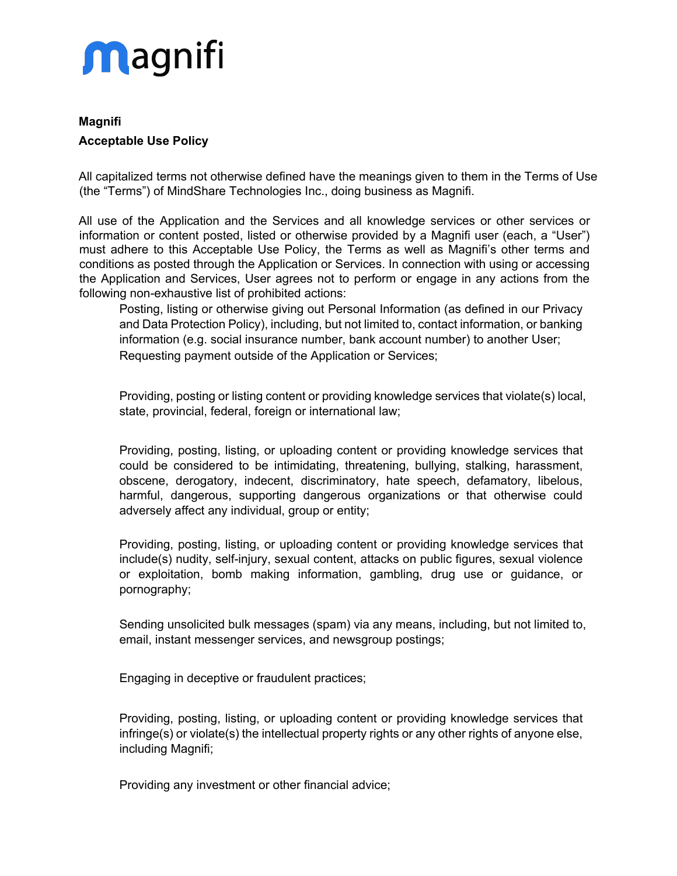

## **Magnifi Acceptable Use Policy**

All capitalized terms not otherwise defined have the meanings given to them in the Terms of Use (the "Terms") of MindShare Technologies Inc., doing business as Magnifi.

All use of the Application and the Services and all knowledge services or other services or information or content posted, listed or otherwise provided by a Magnifi user (each, a "User") must adhere to this Acceptable Use Policy, the Terms as well as Magnifi's other terms and conditions as posted through the Application or Services. In connection with using or accessing the Application and Services, User agrees not to perform or engage in any actions from the following non-exhaustive list of prohibited actions:

 Posting, listing or otherwise giving out Personal Information (as defined in our Privacy and Data Protection Policy), including, but not limited to, contact information, or banking information (e.g. social insurance number, bank account number) to another User; Requesting payment outside of the Application or Services;

 Providing, posting or listing content or providing knowledge services that violate(s) local, state, provincial, federal, foreign or international law;

 Providing, posting, listing, or uploading content or providing knowledge services that could be considered to be intimidating, threatening, bullying, stalking, harassment, obscene, derogatory, indecent, discriminatory, hate speech, defamatory, libelous, harmful, dangerous, supporting dangerous organizations or that otherwise could adversely affect any individual, group or entity;

 Providing, posting, listing, or uploading content or providing knowledge services that include(s) nudity, self-injury, sexual content, attacks on public figures, sexual violence or exploitation, bomb making information, gambling, drug use or guidance, or pornography;

 Sending unsolicited bulk messages (spam) via any means, including, but not limited to, email, instant messenger services, and newsgroup postings;

Engaging in deceptive or fraudulent practices;

 Providing, posting, listing, or uploading content or providing knowledge services that infringe(s) or violate(s) the intellectual property rights or any other rights of anyone else, including Magnifi;

Providing any investment or other financial advice;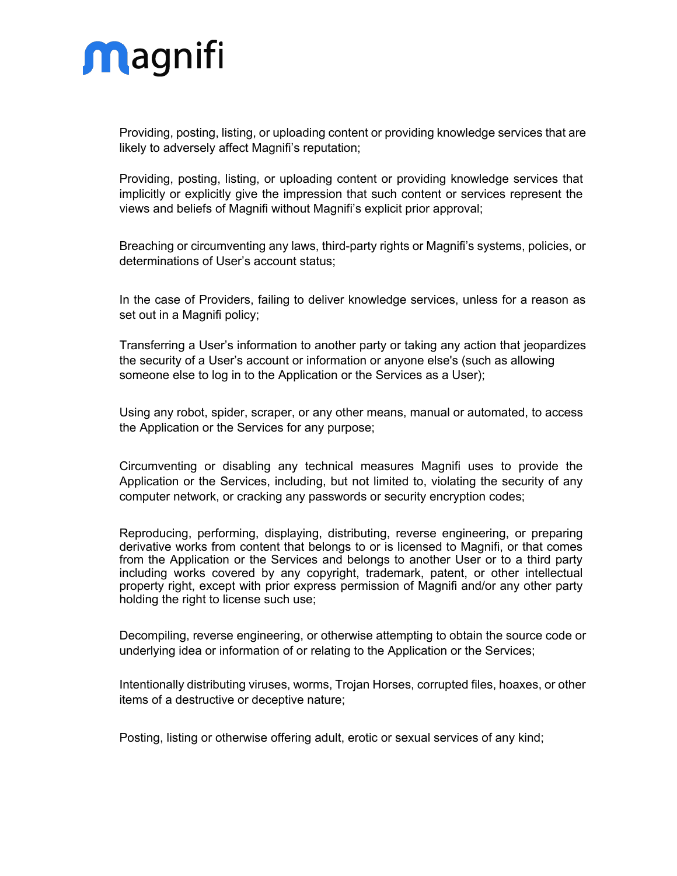

 Providing, posting, listing, or uploading content or providing knowledge services that are likely to adversely affect Magnifi's reputation;

 Providing, posting, listing, or uploading content or providing knowledge services that implicitly or explicitly give the impression that such content or services represent the views and beliefs of Magnifi without Magnifi's explicit prior approval;

 Breaching or circumventing any laws, third-party rights or Magnifi's systems, policies, or determinations of User's account status;

 In the case of Providers, failing to deliver knowledge services, unless for a reason as set out in a Magnifi policy;

 Transferring a User's information to another party or taking any action that jeopardizes the security of a User's account or information or anyone else's (such as allowing someone else to log in to the Application or the Services as a User);

 Using any robot, spider, scraper, or any other means, manual or automated, to access the Application or the Services for any purpose;

 Circumventing or disabling any technical measures Magnifi uses to provide the Application or the Services, including, but not limited to, violating the security of any computer network, or cracking any passwords or security encryption codes;

 Reproducing, performing, displaying, distributing, reverse engineering, or preparing derivative works from content that belongs to or is licensed to Magnifi, or that comes from the Application or the Services and belongs to another User or to a third party including works covered by any copyright, trademark, patent, or other intellectual property right, except with prior express permission of Magnifi and/or any other party holding the right to license such use;

 Decompiling, reverse engineering, or otherwise attempting to obtain the source code or underlying idea or information of or relating to the Application or the Services;

 Intentionally distributing viruses, worms, Trojan Horses, corrupted files, hoaxes, or other items of a destructive or deceptive nature;

Posting, listing or otherwise offering adult, erotic or sexual services of any kind;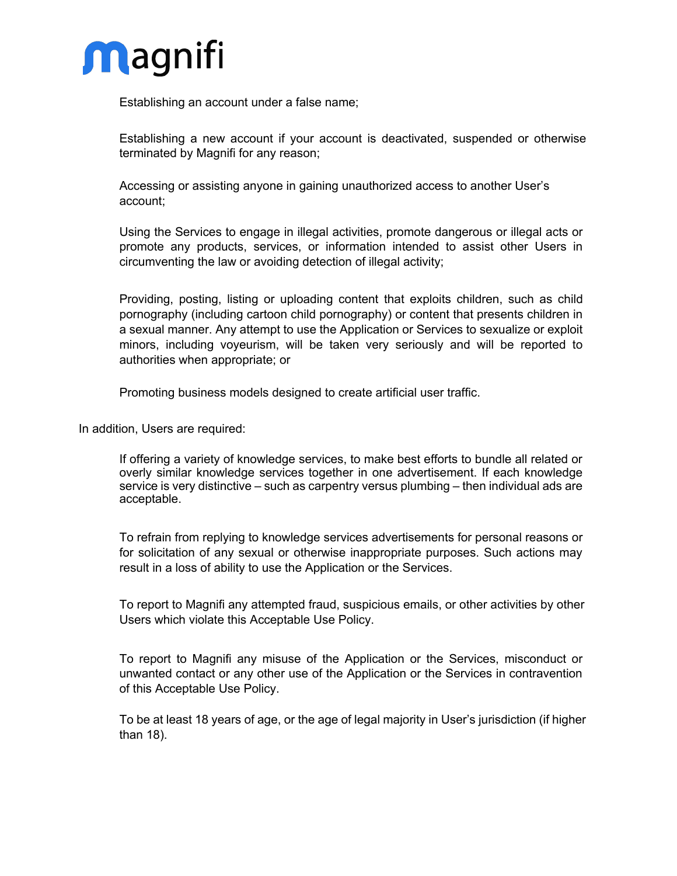

Establishing an account under a false name;

 Establishing a new account if your account is deactivated, suspended or otherwise terminated by Magnifi for any reason;

 Accessing or assisting anyone in gaining unauthorized access to another User's account;

 Using the Services to engage in illegal activities, promote dangerous or illegal acts or promote any products, services, or information intended to assist other Users in circumventing the law or avoiding detection of illegal activity;

 Providing, posting, listing or uploading content that exploits children, such as child pornography (including cartoon child pornography) or content that presents children in a sexual manner. Any attempt to use the Application or Services to sexualize or exploit minors, including voyeurism, will be taken very seriously and will be reported to authorities when appropriate; or

Promoting business models designed to create artificial user traffic.

In addition, Users are required:

 If offering a variety of knowledge services, to make best efforts to bundle all related or overly similar knowledge services together in one advertisement. If each knowledge service is very distinctive – such as carpentry versus plumbing – then individual ads are acceptable.

 To refrain from replying to knowledge services advertisements for personal reasons or for solicitation of any sexual or otherwise inappropriate purposes. Such actions may result in a loss of ability to use the Application or the Services.

 To report to Magnifi any attempted fraud, suspicious emails, or other activities by other Users which violate this Acceptable Use Policy.

 To report to Magnifi any misuse of the Application or the Services, misconduct or unwanted contact or any other use of the Application or the Services in contravention of this Acceptable Use Policy.

 To be at least 18 years of age, or the age of legal majority in User's jurisdiction (if higher than 18).